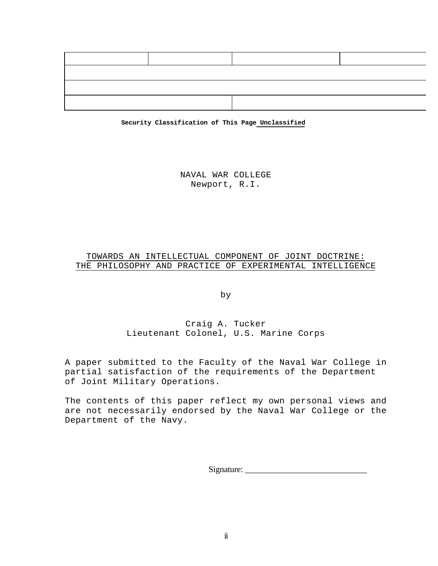

**Security Classification of This Page Unclassified**

NAVAL WAR COLLEGE Newport, R.I.

# TOWARDS AN INTELLECTUAL COMPONENT OF JOINT DOCTRINE: THE PHILOSOPHY AND PRACTICE OF EXPERIMENTAL INTELLIGENCE

by

# Craig A. Tucker Lieutenant Colonel, U.S. Marine Corps

A paper submitted to the Faculty of the Naval War College in partial satisfaction of the requirements of the Department of Joint Military Operations.

The contents of this paper reflect my own personal views and are not necessarily endorsed by the Naval War College or the Department of the Navy.

Signature: \_\_\_\_\_\_\_\_\_\_\_\_\_\_\_\_\_\_\_\_\_\_\_\_\_\_\_\_\_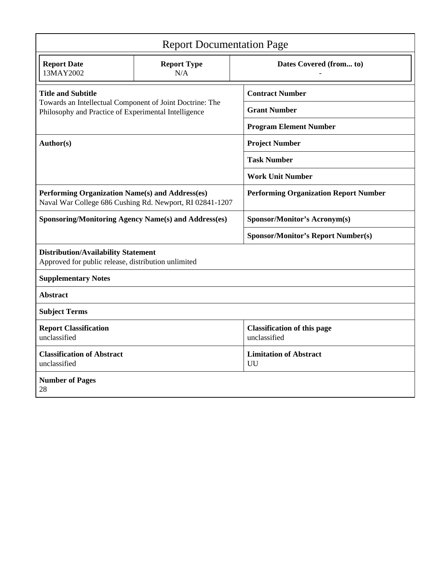| <b>Report Documentation Page</b>                                                                                 |                           |                                                    |
|------------------------------------------------------------------------------------------------------------------|---------------------------|----------------------------------------------------|
| <b>Report Date</b><br>13MAY2002                                                                                  | <b>Report Type</b><br>N/A | Dates Covered (from to)                            |
| <b>Title and Subtitle</b>                                                                                        |                           | <b>Contract Number</b>                             |
| Towards an Intellectual Component of Joint Doctrine: The<br>Philosophy and Practice of Experimental Intelligence |                           | <b>Grant Number</b>                                |
|                                                                                                                  |                           | <b>Program Element Number</b>                      |
| Author(s)                                                                                                        |                           | <b>Project Number</b>                              |
|                                                                                                                  |                           | <b>Task Number</b>                                 |
|                                                                                                                  |                           | <b>Work Unit Number</b>                            |
| Performing Organization Name(s) and Address(es)<br>Naval War College 686 Cushing Rd. Newport, RI 02841-1207      |                           | <b>Performing Organization Report Number</b>       |
| <b>Sponsoring/Monitoring Agency Name(s) and Address(es)</b>                                                      |                           | <b>Sponsor/Monitor's Acronym(s)</b>                |
|                                                                                                                  |                           | <b>Sponsor/Monitor's Report Number(s)</b>          |
| <b>Distribution/Availability Statement</b><br>Approved for public release, distribution unlimited                |                           |                                                    |
| <b>Supplementary Notes</b>                                                                                       |                           |                                                    |
| <b>Abstract</b>                                                                                                  |                           |                                                    |
| <b>Subject Terms</b>                                                                                             |                           |                                                    |
| <b>Report Classification</b><br>unclassified                                                                     |                           | <b>Classification of this page</b><br>unclassified |
| <b>Classification of Abstract</b><br>unclassified                                                                |                           | <b>Limitation of Abstract</b><br>UU                |
| <b>Number of Pages</b><br>28                                                                                     |                           |                                                    |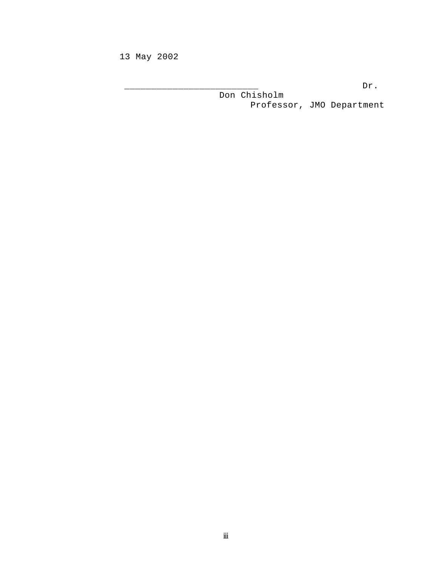13 May 2002

\_\_\_\_\_\_\_\_\_\_\_\_\_\_\_\_\_\_\_\_\_\_\_\_\_ Dr.

Don Chisholm Professor, JMO Department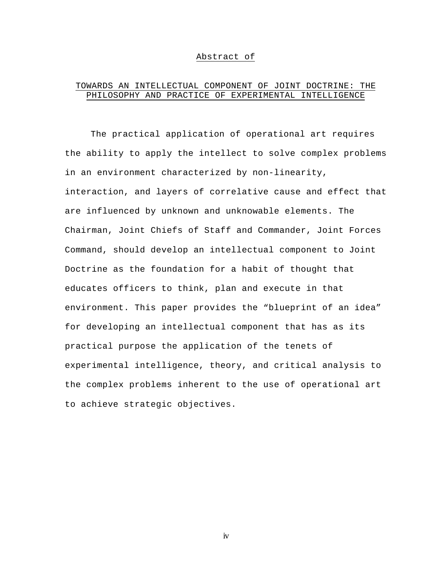#### Abstract of

# TOWARDS AN INTELLECTUAL COMPONENT OF JOINT DOCTRINE: THE PHILOSOPHY AND PRACTICE OF EXPERIMENTAL INTELLIGENCE

The practical application of operational art requires the ability to apply the intellect to solve complex problems in an environment characterized by non-linearity, interaction, and layers of correlative cause and effect that are influenced by unknown and unknowable elements. The Chairman, Joint Chiefs of Staff and Commander, Joint Forces Command, should develop an intellectual component to Joint Doctrine as the foundation for a habit of thought that educates officers to think, plan and execute in that environment. This paper provides the "blueprint of an idea" for developing an intellectual component that has as its practical purpose the application of the tenets of experimental intelligence, theory, and critical analysis to the complex problems inherent to the use of operational art to achieve strategic objectives.

iv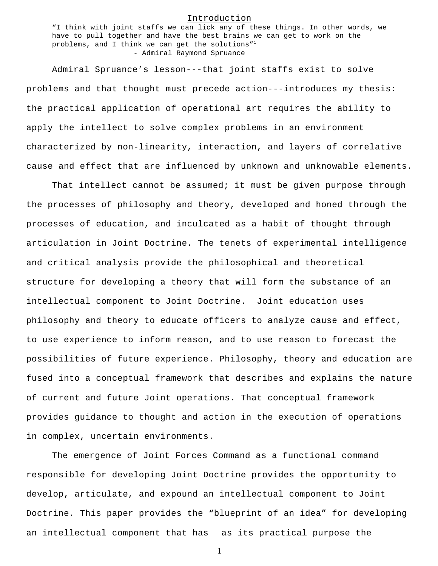#### Introduction

"I think with joint staffs we can lick any of these things. In other words, we have to pull together and have the best brains we can get to work on the problems, and I think we can get the solutions"<sup>1</sup> - Admiral Raymond Spruance

Admiral Spruance's lesson---that joint staffs exist to solve problems and that thought must precede action---introduces my thesis: the practical application of operational art requires the ability to apply the intellect to solve complex problems in an environment characterized by non-linearity, interaction, and layers of correlative cause and effect that are influenced by unknown and unknowable elements.

That intellect cannot be assumed; it must be given purpose through the processes of philosophy and theory, developed and honed through the processes of education, and inculcated as a habit of thought through articulation in Joint Doctrine. The tenets of experimental intelligence and critical analysis provide the philosophical and theoretical structure for developing a theory that will form the substance of an intellectual component to Joint Doctrine. Joint education uses philosophy and theory to educate officers to analyze cause and effect, to use experience to inform reason, and to use reason to forecast the possibilities of future experience. Philosophy, theory and education are fused into a conceptual framework that describes and explains the nature of current and future Joint operations. That conceptual framework provides guidance to thought and action in the execution of operations in complex, uncertain environments.

The emergence of Joint Forces Command as a functional command responsible for developing Joint Doctrine provides the opportunity to develop, articulate, and expound an intellectual component to Joint Doctrine. This paper provides the "blueprint of an idea" for developing an intellectual component that has as its practical purpose the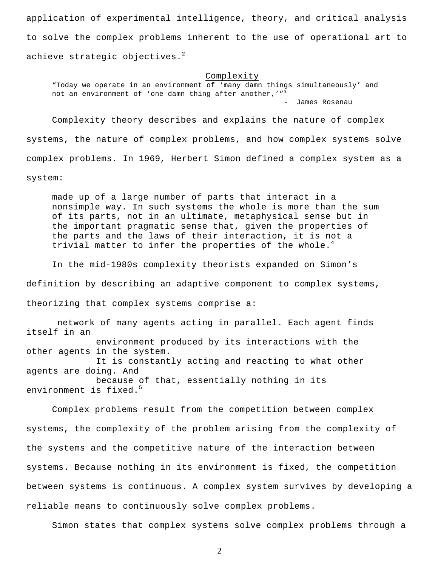application of experimental intelligence, theory, and critical analysis to solve the complex problems inherent to the use of operational art to achieve strategic objectives.<sup>2</sup>

#### Complexity

"Today we operate in an environment of 'many damn things simultaneously' and not an environment of 'one damn thing after another,'"3 - James Rosenau

Complexity theory describes and explains the nature of complex systems, the nature of complex problems, and how complex systems solve complex problems. In 1969, Herbert Simon defined a complex system as a system:

made up of a large number of parts that interact in a nonsimple way. In such systems the whole is more than the sum of its parts, not in an ultimate, metaphysical sense but in the important pragmatic sense that, given the properties of the parts and the laws of their interaction, it is not a trivial matter to infer the properties of the whole.<sup>4</sup>

In the mid-1980s complexity theorists expanded on Simon's definition by describing an adaptive component to complex systems, theorizing that complex systems comprise a:

 network of many agents acting in parallel. Each agent finds itself in an environment produced by its interactions with the other agents in the system. It is constantly acting and reacting to what other agents are doing. And because of that, essentially nothing in its environment is fixed.<sup>5</sup>

Complex problems result from the competition between complex systems, the complexity of the problem arising from the complexity of the systems and the competitive nature of the interaction between systems. Because nothing in its environment is fixed, the competition between systems is continuous. A complex system survives by developing a reliable means to continuously solve complex problems.

Simon states that complex systems solve complex problems through a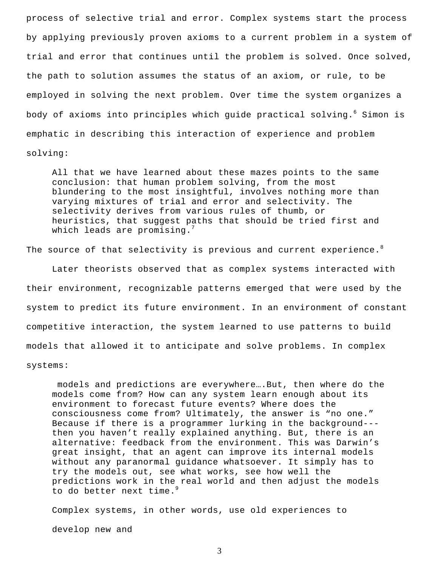process of selective trial and error. Complex systems start the process by applying previously proven axioms to a current problem in a system of trial and error that continues until the problem is solved. Once solved, the path to solution assumes the status of an axiom, or rule, to be employed in solving the next problem. Over time the system organizes a body of axioms into principles which quide practical solving.<sup>6</sup> Simon is emphatic in describing this interaction of experience and problem solving:

All that we have learned about these mazes points to the same conclusion: that human problem solving, from the most blundering to the most insightful, involves nothing more than varying mixtures of trial and error and selectivity. The selectivity derives from various rules of thumb, or heuristics, that suggest paths that should be tried first and which leads are promising. $<sup>7</sup>$ </sup>

The source of that selectivity is previous and current experience.<sup>8</sup>

Later theorists observed that as complex systems interacted with their environment, recognizable patterns emerged that were used by the system to predict its future environment. In an environment of constant competitive interaction, the system learned to use patterns to build models that allowed it to anticipate and solve problems. In complex systems:

models and predictions are everywhere.... But, then where do the models come from? How can any system learn enough about its environment to forecast future events? Where does the consciousness come from? Ultimately, the answer is "no one." Because if there is a programmer lurking in the background-- then you haven't really explained anything. But, there is an alternative: feedback from the environment. This was Darwin's great insight, that an agent can improve its internal models without any paranormal guidance whatsoever. It simply has to try the models out, see what works, see how well the predictions work in the real world and then adjust the models to do better next time.<sup>9</sup>

Complex systems, in other words, use old experiences to develop new and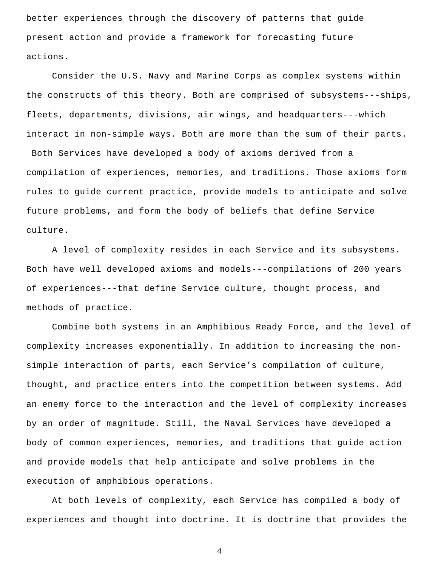better experiences through the discovery of patterns that guide present action and provide a framework for forecasting future actions.

Consider the U.S. Navy and Marine Corps as complex systems within the constructs of this theory. Both are comprised of subsystems---ships, fleets, departments, divisions, air wings, and headquarters---which interact in non-simple ways. Both are more than the sum of their parts. Both Services have developed a body of axioms derived from a compilation of experiences, memories, and traditions. Those axioms form rules to guide current practice, provide models to anticipate and solve future problems, and form the body of beliefs that define Service

culture.

A level of complexity resides in each Service and its subsystems. Both have well developed axioms and models---compilations of 200 years of experiences---that define Service culture, thought process, and methods of practice.

Combine both systems in an Amphibious Ready Force, and the level of complexity increases exponentially. In addition to increasing the nonsimple interaction of parts, each Service's compilation of culture, thought, and practice enters into the competition between systems. Add an enemy force to the interaction and the level of complexity increases by an order of magnitude. Still, the Naval Services have developed a body of common experiences, memories, and traditions that guide action and provide models that help anticipate and solve problems in the execution of amphibious operations.

At both levels of complexity, each Service has compiled a body of experiences and thought into doctrine. It is doctrine that provides the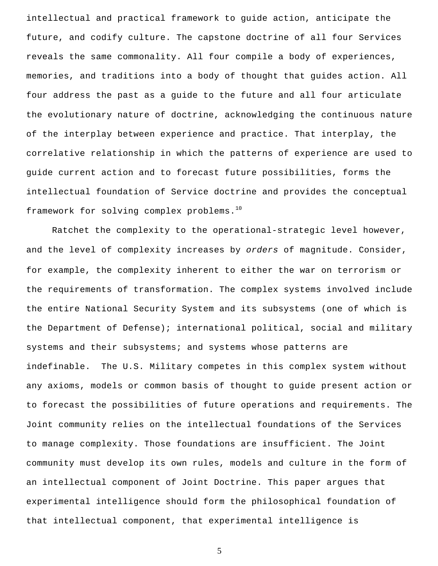intellectual and practical framework to guide action, anticipate the future, and codify culture. The capstone doctrine of all four Services reveals the same commonality. All four compile a body of experiences, memories, and traditions into a body of thought that guides action. All four address the past as a guide to the future and all four articulate the evolutionary nature of doctrine, acknowledging the continuous nature of the interplay between experience and practice. That interplay, the correlative relationship in which the patterns of experience are used to guide current action and to forecast future possibilities, forms the intellectual foundation of Service doctrine and provides the conceptual framework for solving complex problems.<sup>10</sup>

Ratchet the complexity to the operational-strategic level however, and the level of complexity increases by *orders* of magnitude. Consider, for example, the complexity inherent to either the war on terrorism or the requirements of transformation. The complex systems involved include the entire National Security System and its subsystems (one of which is the Department of Defense); international political, social and military systems and their subsystems; and systems whose patterns are indefinable. The U.S. Military competes in this complex system without any axioms, models or common basis of thought to guide present action or to forecast the possibilities of future operations and requirements. The Joint community relies on the intellectual foundations of the Services to manage complexity. Those foundations are insufficient. The Joint community must develop its own rules, models and culture in the form of an intellectual component of Joint Doctrine. This paper argues that experimental intelligence should form the philosophical foundation of that intellectual component, that experimental intelligence is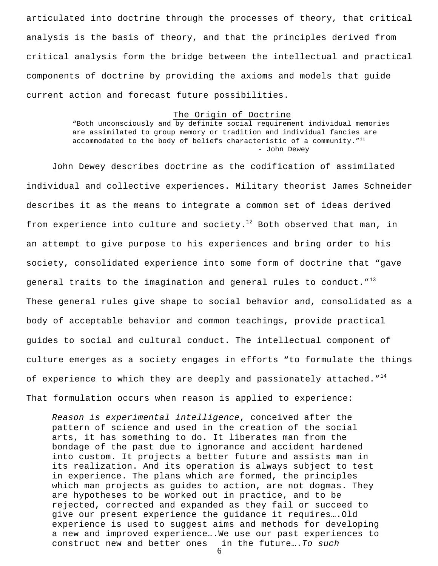articulated into doctrine through the processes of theory, that critical analysis is the basis of theory, and that the principles derived from critical analysis form the bridge between the intellectual and practical components of doctrine by providing the axioms and models that guide current action and forecast future possibilities.

#### The Origin of Doctrine

"Both unconsciously and by definite social requirement individual memories are assimilated to group memory or tradition and individual fancies are accommodated to the body of beliefs characteristic of a community. $''^{11}$ - John Dewey

John Dewey describes doctrine as the codification of assimilated individual and collective experiences. Military theorist James Schneider describes it as the means to integrate a common set of ideas derived from experience into culture and  ${\tt society.}^{12}$  Both observed that man, in an attempt to give purpose to his experiences and bring order to his society, consolidated experience into some form of doctrine that "gave general traits to the imagination and general rules to conduct."<sup>13</sup> These general rules give shape to social behavior and, consolidated as a body of acceptable behavior and common teachings, provide practical guides to social and cultural conduct. The intellectual component of culture emerges as a society engages in efforts "to formulate the things of experience to which they are deeply and passionately attached." $^{14}$ That formulation occurs when reason is applied to experience:

6 *Reason is experimental intelligence*, conceived after the pattern of science and used in the creation of the social arts, it has something to do. It liberates man from the bondage of the past due to ignorance and accident hardened into custom. It projects a better future and assists man in its realization. And its operation is always subject to test in experience. The plans which are formed, the principles which man projects as guides to action, are not dogmas. They are hypotheses to be worked out in practice, and to be rejected, corrected and expanded as they fail or succeed to give our present experience the guidance it requires….Old experience is used to suggest aims and methods for developing a new and improved experience….We use our past experiences to construct new and better ones in the future….*To such*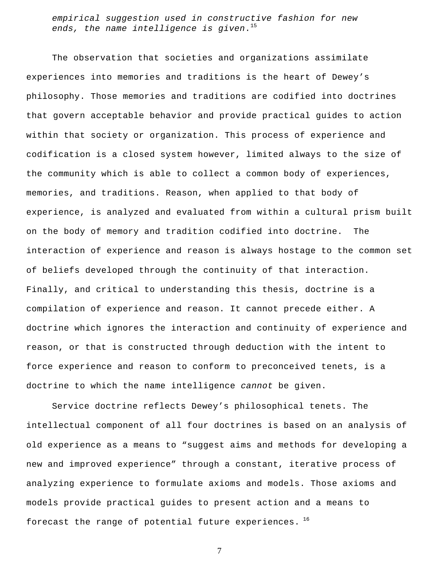*empirical suggestion used in constructive fashion for new ends, the name intelligence is given*. 15

The observation that societies and organizations assimilate experiences into memories and traditions is the heart of Dewey's philosophy. Those memories and traditions are codified into doctrines that govern acceptable behavior and provide practical guides to action within that society or organization. This process of experience and codification is a closed system however, limited always to the size of the community which is able to collect a common body of experiences, memories, and traditions. Reason, when applied to that body of experience, is analyzed and evaluated from within a cultural prism built on the body of memory and tradition codified into doctrine. The interaction of experience and reason is always hostage to the common set of beliefs developed through the continuity of that interaction. Finally, and critical to understanding this thesis, doctrine is a compilation of experience and reason. It cannot precede either. A doctrine which ignores the interaction and continuity of experience and reason, or that is constructed through deduction with the intent to force experience and reason to conform to preconceived tenets, is a doctrine to which the name intelligence *cannot* be given.

Service doctrine reflects Dewey's philosophical tenets. The intellectual component of all four doctrines is based on an analysis of old experience as a means to "suggest aims and methods for developing a new and improved experience" through a constant, iterative process of analyzing experience to formulate axioms and models. Those axioms and models provide practical guides to present action and a means to forecast the range of potential future experiences.  $^{16}$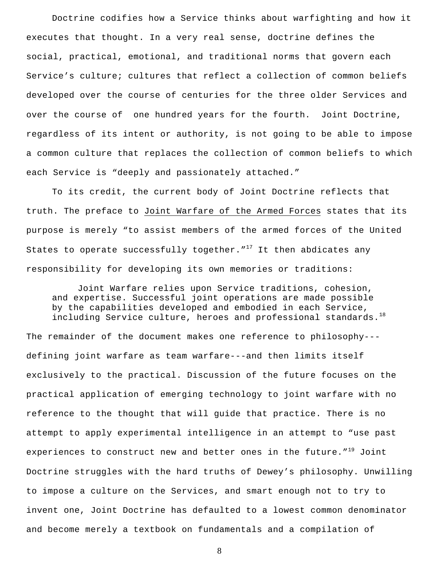Doctrine codifies how a Service thinks about warfighting and how it executes that thought. In a very real sense, doctrine defines the social, practical, emotional, and traditional norms that govern each Service's culture; cultures that reflect a collection of common beliefs developed over the course of centuries for the three older Services and over the course of one hundred years for the fourth. Joint Doctrine, regardless of its intent or authority, is not going to be able to impose a common culture that replaces the collection of common beliefs to which each Service is "deeply and passionately attached."

To its credit, the current body of Joint Doctrine reflects that truth. The preface to Joint Warfare of the Armed Forces states that its purpose is merely "to assist members of the armed forces of the United States to operate successfully together.  $17$  It then abdicates any responsibility for developing its own memories or traditions:

Joint Warfare relies upon Service traditions, cohesion, and expertise. Successful joint operations are made possible by the capabilities developed and embodied in each Service, including Service culture, heroes and professional standards. $^{18}$ 

The remainder of the document makes one reference to philosophy-- defining joint warfare as team warfare---and then limits itself exclusively to the practical. Discussion of the future focuses on the practical application of emerging technology to joint warfare with no reference to the thought that will guide that practice. There is no attempt to apply experimental intelligence in an attempt to "use past experiences to construct new and better ones in the future."<sup>19</sup> Joint Doctrine struggles with the hard truths of Dewey's philosophy. Unwilling to impose a culture on the Services, and smart enough not to try to invent one, Joint Doctrine has defaulted to a lowest common denominator and become merely a textbook on fundamentals and a compilation of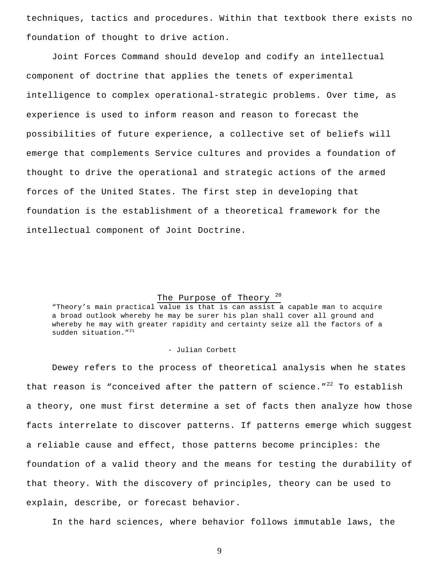techniques, tactics and procedures. Within that textbook there exists no foundation of thought to drive action.

Joint Forces Command should develop and codify an intellectual component of doctrine that applies the tenets of experimental intelligence to complex operational-strategic problems. Over time, as experience is used to inform reason and reason to forecast the possibilities of future experience, a collective set of beliefs will emerge that complements Service cultures and provides a foundation of thought to drive the operational and strategic actions of the armed forces of the United States. The first step in developing that foundation is the establishment of a theoretical framework for the intellectual component of Joint Doctrine.

# The Purpose of Theory<sup>20</sup>

"Theory's main practical value is that is can assist a capable man to acquire a broad outlook whereby he may be surer his plan shall cover all ground and whereby he may with greater rapidity and certainty seize all the factors of a sudden situation."<sup>21</sup>

#### - Julian Corbett

Dewey refers to the process of theoretical analysis when he states that reason is "conceived after the pattern of science." $^{22}$  To establish a theory, one must first determine a set of facts then analyze how those facts interrelate to discover patterns. If patterns emerge which suggest a reliable cause and effect, those patterns become principles: the foundation of a valid theory and the means for testing the durability of that theory. With the discovery of principles, theory can be used to explain, describe, or forecast behavior.

In the hard sciences, where behavior follows immutable laws, the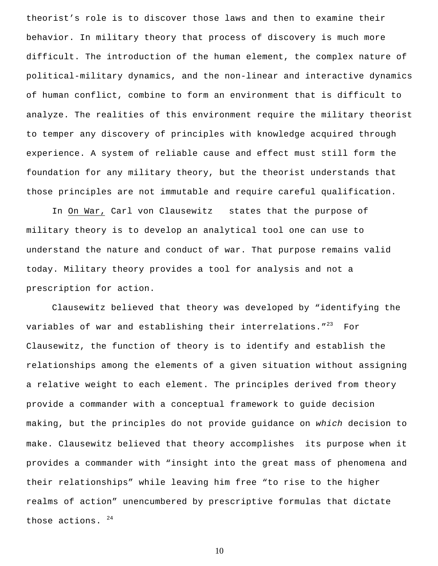theorist's role is to discover those laws and then to examine their behavior. In military theory that process of discovery is much more difficult. The introduction of the human element, the complex nature of political-military dynamics, and the non-linear and interactive dynamics of human conflict, combine to form an environment that is difficult to analyze. The realities of this environment require the military theorist to temper any discovery of principles with knowledge acquired through experience. A system of reliable cause and effect must still form the foundation for any military theory, but the theorist understands that those principles are not immutable and require careful qualification.

In On War, Carl von Clausewitz states that the purpose of military theory is to develop an analytical tool one can use to understand the nature and conduct of war. That purpose remains valid today. Military theory provides a tool for analysis and not a prescription for action.

Clausewitz believed that theory was developed by "identifying the variables of war and establishing their interrelations."<sup>23</sup> For Clausewitz, the function of theory is to identify and establish the relationships among the elements of a given situation without assigning a relative weight to each element. The principles derived from theory provide a commander with a conceptual framework to guide decision making, but the principles do not provide guidance on *which* decision to make. Clausewitz believed that theory accomplishes its purpose when it provides a commander with "insight into the great mass of phenomena and their relationships" while leaving him free "to rise to the higher realms of action" unencumbered by prescriptive formulas that dictate those actions.  $24$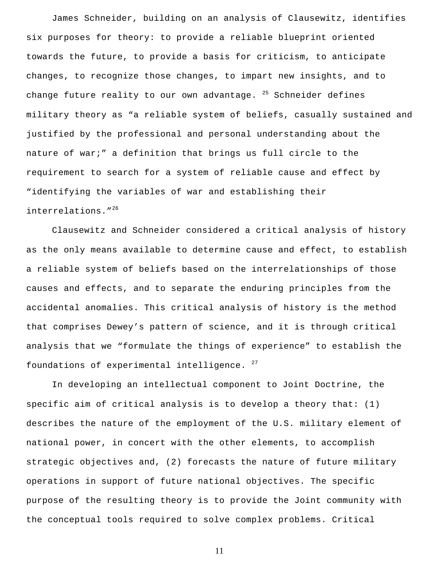James Schneider, building on an analysis of Clausewitz, identifies six purposes for theory: to provide a reliable blueprint oriented towards the future, to provide a basis for criticism, to anticipate changes, to recognize those changes, to impart new insights, and to change future reality to our own advantage.  $25$  Schneider defines military theory as "a reliable system of beliefs, casually sustained and justified by the professional and personal understanding about the nature of war;" a definition that brings us full circle to the requirement to search for a system of reliable cause and effect by "identifying the variables of war and establishing their interrelations."<sup>26</sup>

Clausewitz and Schneider considered a critical analysis of history as the only means available to determine cause and effect, to establish a reliable system of beliefs based on the interrelationships of those causes and effects, and to separate the enduring principles from the accidental anomalies. This critical analysis of history is the method that comprises Dewey's pattern of science, and it is through critical analysis that we "formulate the things of experience" to establish the foundations of experimental intelligence.  $27$ 

In developing an intellectual component to Joint Doctrine, the specific aim of critical analysis is to develop a theory that: (1) describes the nature of the employment of the U.S. military element of national power, in concert with the other elements, to accomplish strategic objectives and, (2) forecasts the nature of future military operations in support of future national objectives. The specific purpose of the resulting theory is to provide the Joint community with the conceptual tools required to solve complex problems. Critical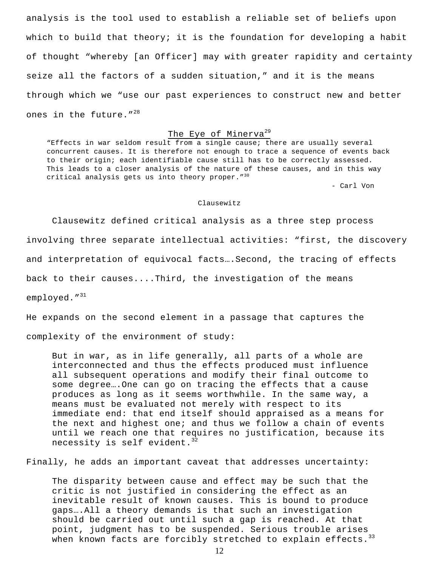analysis is the tool used to establish a reliable set of beliefs upon which to build that theory; it is the foundation for developing a habit of thought "whereby [an Officer] may with greater rapidity and certainty seize all the factors of a sudden situation," and it is the means through which we "use our past experiences to construct new and better ones in the future."<sup>28</sup>

# The Eye of Minerva<sup>29</sup>

"Effects in war seldom result from a single cause; there are usually several concurrent causes. It is therefore not enough to trace a sequence of events back to their origin; each identifiable cause still has to be correctly assessed. This leads to a closer analysis of the nature of these causes, and in this way critical analysis gets us into theory proper."<sup>30</sup>

- Carl Von

#### Clausewitz

Clausewitz defined critical analysis as a three step process involving three separate intellectual activities: "first, the discovery and interpretation of equivocal facts….Second, the tracing of effects back to their causes....Third, the investigation of the means employed."<sup>31</sup>

He expands on the second element in a passage that captures the complexity of the environment of study:

But in war, as in life generally, all parts of a whole are interconnected and thus the effects produced must influence all subsequent operations and modify their final outcome to some degree….One can go on tracing the effects that a cause produces as long as it seems worthwhile. In the same way, a means must be evaluated not merely with respect to its immediate end: that end itself should appraised as a means for the next and highest one; and thus we follow a chain of events until we reach one that requires no justification, because its necessity is self evident. $32$ 

Finally, he adds an important caveat that addresses uncertainty:

The disparity between cause and effect may be such that the critic is not justified in considering the effect as an inevitable result of known causes. This is bound to produce gaps….All a theory demands is that such an investigation should be carried out until such a gap is reached. At that point, judgment has to be suspended. Serious trouble arises when known facts are forcibly stretched to explain effects.<sup>33</sup>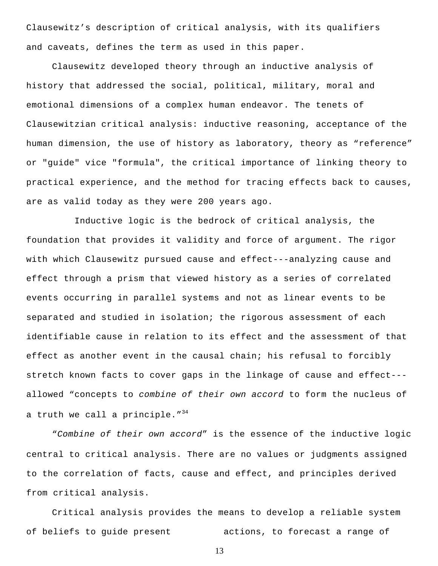Clausewitz's description of critical analysis, with its qualifiers and caveats, defines the term as used in this paper.

Clausewitz developed theory through an inductive analysis of history that addressed the social, political, military, moral and emotional dimensions of a complex human endeavor. The tenets of Clausewitzian critical analysis: inductive reasoning, acceptance of the human dimension, the use of history as laboratory, theory as "reference" or "guide" vice "formula", the critical importance of linking theory to practical experience, and the method for tracing effects back to causes, are as valid today as they were 200 years ago.

 Inductive logic is the bedrock of critical analysis, the foundation that provides it validity and force of argument. The rigor with which Clausewitz pursued cause and effect---analyzing cause and effect through a prism that viewed history as a series of correlated events occurring in parallel systems and not as linear events to be separated and studied in isolation; the rigorous assessment of each identifiable cause in relation to its effect and the assessment of that effect as another event in the causal chain; his refusal to forcibly stretch known facts to cover gaps in the linkage of cause and effect-- allowed "concepts to *combine of their own accord* to form the nucleus of a truth we call a principle.  $1^{34}$ 

 "*Combine of their own accord*" is the essence of the inductive logic central to critical analysis. There are no values or judgments assigned to the correlation of facts, cause and effect, and principles derived from critical analysis.

Critical analysis provides the means to develop a reliable system of beliefs to guide present actions, to forecast a range of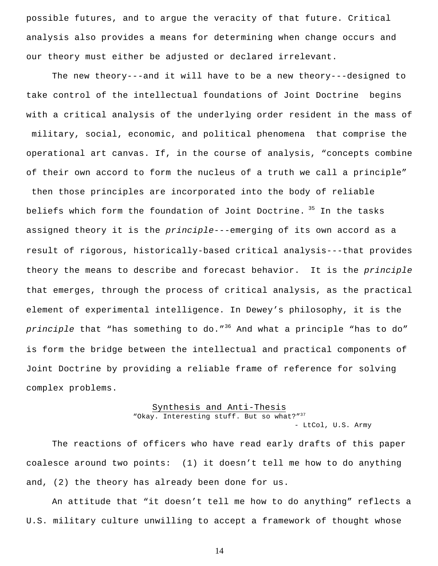possible futures, and to argue the veracity of that future. Critical analysis also provides a means for determining when change occurs and our theory must either be adjusted or declared irrelevant.

The new theory---and it will have to be a new theory---designed to take control of the intellectual foundations of Joint Doctrine begins with a critical analysis of the underlying order resident in the mass of military, social, economic, and political phenomena that comprise the operational art canvas. If, in the course of analysis, "concepts combine of their own accord to form the nucleus of a truth we call a principle" then those principles are incorporated into the body of reliable beliefs which form the foundation of Joint Doctrine. 35 In the tasks assigned theory it is the *principle*---emerging of its own accord as a result of rigorous, historically-based critical analysis---that provides theory the means to describe and forecast behavior. It is the *principle* that emerges, through the process of critical analysis, as the practical element of experimental intelligence. In Dewey's philosophy, it is the principle that "has something to do."<sup>36</sup> And what a principle "has to do" is form the bridge between the intellectual and practical components of

Joint Doctrine by providing a reliable frame of reference for solving complex problems.

#### Synthesis and Anti-Thesis

"Okay. Interesting stuff. But so what?"<sup>37</sup>

- LtCol, U.S. Army

The reactions of officers who have read early drafts of this paper coalesce around two points: (1) it doesn't tell me how to do anything and, (2) the theory has already been done for us.

An attitude that "it doesn't tell me how to do anything" reflects a U.S. military culture unwilling to accept a framework of thought whose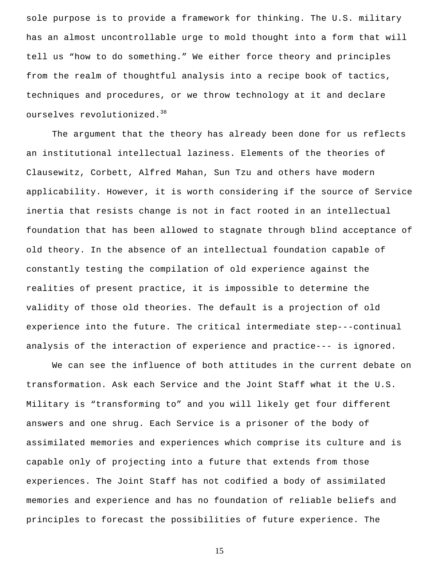sole purpose is to provide a framework for thinking. The U.S. military has an almost uncontrollable urge to mold thought into a form that will tell us "how to do something." We either force theory and principles from the realm of thoughtful analysis into a recipe book of tactics, techniques and procedures, or we throw technology at it and declare ourselves revolutionized.<sup>38</sup>

The argument that the theory has already been done for us reflects an institutional intellectual laziness. Elements of the theories of Clausewitz, Corbett, Alfred Mahan, Sun Tzu and others have modern applicability. However, it is worth considering if the source of Service inertia that resists change is not in fact rooted in an intellectual foundation that has been allowed to stagnate through blind acceptance of old theory. In the absence of an intellectual foundation capable of constantly testing the compilation of old experience against the realities of present practice, it is impossible to determine the validity of those old theories. The default is a projection of old experience into the future. The critical intermediate step---continual analysis of the interaction of experience and practice--- is ignored.

We can see the influence of both attitudes in the current debate on transformation. Ask each Service and the Joint Staff what it the U.S. Military is "transforming to" and you will likely get four different answers and one shrug. Each Service is a prisoner of the body of assimilated memories and experiences which comprise its culture and is capable only of projecting into a future that extends from those experiences. The Joint Staff has not codified a body of assimilated memories and experience and has no foundation of reliable beliefs and principles to forecast the possibilities of future experience. The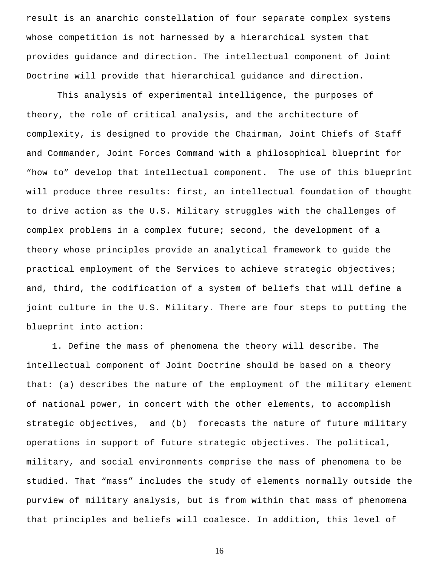result is an anarchic constellation of four separate complex systems whose competition is not harnessed by a hierarchical system that provides guidance and direction. The intellectual component of Joint Doctrine will provide that hierarchical guidance and direction.

 This analysis of experimental intelligence, the purposes of theory, the role of critical analysis, and the architecture of complexity, is designed to provide the Chairman, Joint Chiefs of Staff and Commander, Joint Forces Command with a philosophical blueprint for "how to" develop that intellectual component. The use of this blueprint will produce three results: first, an intellectual foundation of thought to drive action as the U.S. Military struggles with the challenges of complex problems in a complex future; second, the development of a theory whose principles provide an analytical framework to guide the practical employment of the Services to achieve strategic objectives; and, third, the codification of a system of beliefs that will define a joint culture in the U.S. Military. There are four steps to putting the blueprint into action:

1. Define the mass of phenomena the theory will describe. The intellectual component of Joint Doctrine should be based on a theory that: (a) describes the nature of the employment of the military element of national power, in concert with the other elements, to accomplish strategic objectives, and (b) forecasts the nature of future military operations in support of future strategic objectives. The political, military, and social environments comprise the mass of phenomena to be studied. That "mass" includes the study of elements normally outside the purview of military analysis, but is from within that mass of phenomena that principles and beliefs will coalesce. In addition, this level of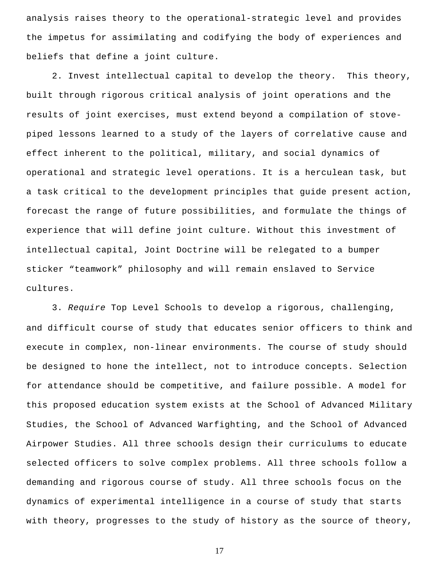analysis raises theory to the operational-strategic level and provides the impetus for assimilating and codifying the body of experiences and beliefs that define a joint culture.

2. Invest intellectual capital to develop the theory. This theory, built through rigorous critical analysis of joint operations and the results of joint exercises, must extend beyond a compilation of stovepiped lessons learned to a study of the layers of correlative cause and effect inherent to the political, military, and social dynamics of operational and strategic level operations. It is a herculean task, but a task critical to the development principles that guide present action, forecast the range of future possibilities, and formulate the things of experience that will define joint culture. Without this investment of intellectual capital, Joint Doctrine will be relegated to a bumper sticker "teamwork" philosophy and will remain enslaved to Service cultures.

3. *Require* Top Level Schools to develop a rigorous, challenging, and difficult course of study that educates senior officers to think and execute in complex, non-linear environments. The course of study should be designed to hone the intellect, not to introduce concepts. Selection for attendance should be competitive, and failure possible. A model for this proposed education system exists at the School of Advanced Military Studies, the School of Advanced Warfighting, and the School of Advanced Airpower Studies. All three schools design their curriculums to educate selected officers to solve complex problems. All three schools follow a demanding and rigorous course of study. All three schools focus on the dynamics of experimental intelligence in a course of study that starts with theory, progresses to the study of history as the source of theory,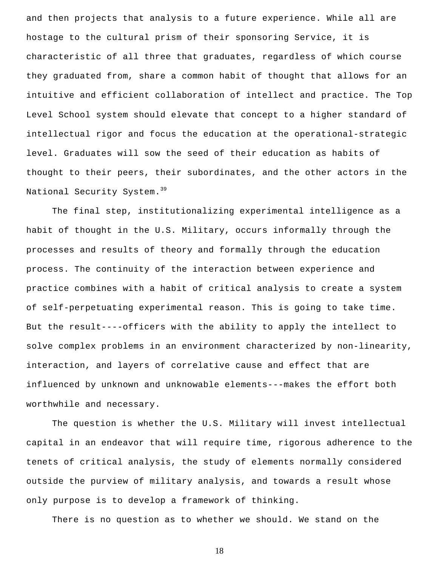and then projects that analysis to a future experience. While all are hostage to the cultural prism of their sponsoring Service, it is characteristic of all three that graduates, regardless of which course they graduated from, share a common habit of thought that allows for an intuitive and efficient collaboration of intellect and practice. The Top Level School system should elevate that concept to a higher standard of intellectual rigor and focus the education at the operational-strategic level. Graduates will sow the seed of their education as habits of thought to their peers, their subordinates, and the other actors in the National Security System.<sup>39</sup>

The final step, institutionalizing experimental intelligence as a habit of thought in the U.S. Military, occurs informally through the processes and results of theory and formally through the education process. The continuity of the interaction between experience and practice combines with a habit of critical analysis to create a system of self-perpetuating experimental reason. This is going to take time. But the result----officers with the ability to apply the intellect to solve complex problems in an environment characterized by non-linearity, interaction, and layers of correlative cause and effect that are influenced by unknown and unknowable elements---makes the effort both worthwhile and necessary.

The question is whether the U.S. Military will invest intellectual capital in an endeavor that will require time, rigorous adherence to the tenets of critical analysis, the study of elements normally considered outside the purview of military analysis, and towards a result whose only purpose is to develop a framework of thinking.

There is no question as to whether we should. We stand on the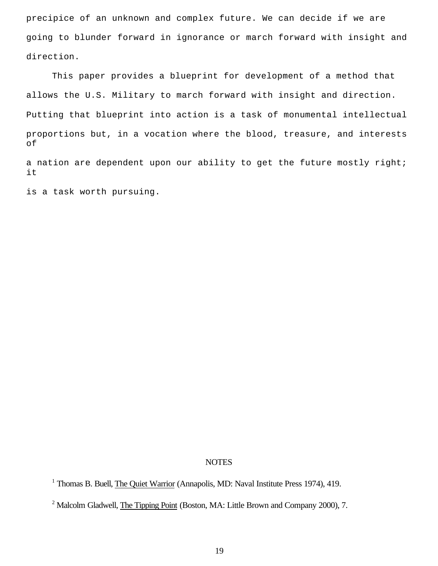precipice of an unknown and complex future. We can decide if we are going to blunder forward in ignorance or march forward with insight and direction.

This paper provides a blueprint for development of a method that allows the U.S. Military to march forward with insight and direction. Putting that blueprint into action is a task of monumental intellectual proportions but, in a vocation where the blood, treasure, and interests of

a nation are dependent upon our ability to get the future mostly right; it

is a task worth pursuing.

### **NOTES**

<sup>&</sup>lt;sup>1</sup> Thomas B. Buell, The Quiet Warrior (Annapolis, MD: Naval Institute Press 1974), 419.

<sup>&</sup>lt;sup>2</sup> Malcolm Gladwell, The Tipping Point (Boston, MA: Little Brown and Company 2000), 7.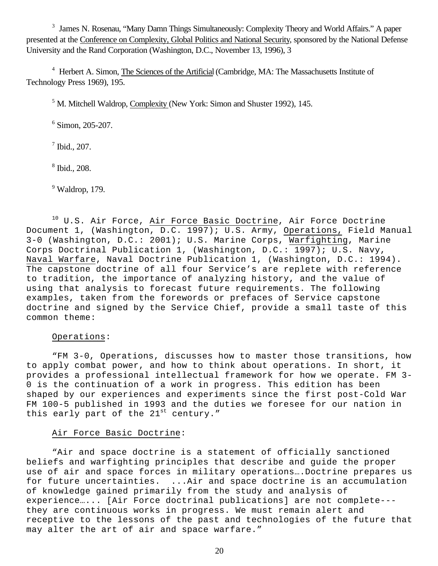<sup>3</sup> James N. Rosenau, "Many Damn Things Simultaneously: Complexity Theory and World Affairs." A paper presented at the Conference on Complexity, Global Politics and National Security, sponsored by the National Defense University and the Rand Corporation (Washington, D.C., November 13, 1996), 3

<sup>4</sup> Herbert A. Simon, The Sciences of the Artificial (Cambridge, MA: The Massachusetts Institute of Technology Press 1969), 195.

<sup>5</sup> M. Mitchell Waldrop, Complexity (New York: Simon and Shuster 1992), 145.

6 Simon, 205-207.

7 Ibid., 207.

8 Ibid., 208.

 $9$  Waldrop, 179.

 $10$  U.S. Air Force, Air Force Basic Doctrine, Air Force Doctrine Document 1, (Washington, D.C. 1997); U.S. Army, Operations, Field Manual 3-0 (Washington, D.C.: 2001); U.S. Marine Corps, Warfighting, Marine Corps Doctrinal Publication 1, (Washington, D.C.: 1997); U.S. Navy, Naval Warfare, Naval Doctrine Publication 1, (Washington, D.C.: 1994). The capstone doctrine of all four Service's are replete with reference to tradition, the importance of analyzing history, and the value of using that analysis to forecast future requirements. The following examples, taken from the forewords or prefaces of Service capstone doctrine and signed by the Service Chief, provide a small taste of this common theme:

# Operations:

"FM 3-0, Operations, discusses how to master those transitions, how to apply combat power, and how to think about operations. In short, it provides a professional intellectual framework for how we operate. FM 3- 0 is the continuation of a work in progress. This edition has been shaped by our experiences and experiments since the first post-Cold War FM 100-5 published in 1993 and the duties we foresee for our nation in this early part of the  $21^{st}$  century."

# Air Force Basic Doctrine:

"Air and space doctrine is a statement of officially sanctioned beliefs and warfighting principles that describe and guide the proper use of air and space forces in military operations... Doctrine prepares us for future uncertainties. ...Air and space doctrine is an accumulation of knowledge gained primarily from the study and analysis of experience…... [Air Force doctrinal publications] are not complete-- they are continuous works in progress. We must remain alert and receptive to the lessons of the past and technologies of the future that may alter the art of air and space warfare."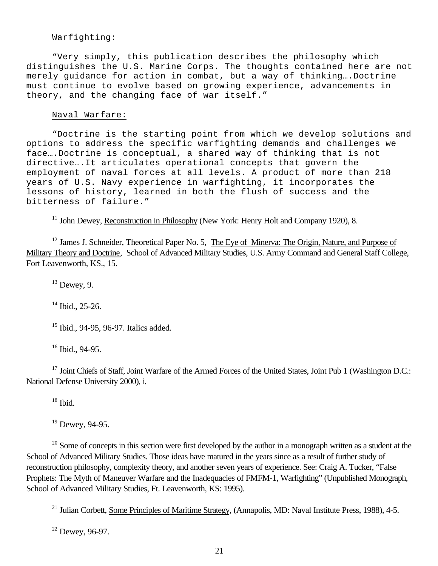# Warfighting:

"Very simply, this publication describes the philosophy which distinguishes the U.S. Marine Corps. The thoughts contained here are not merely guidance for action in combat, but a way of thinking….Doctrine must continue to evolve based on growing experience, advancements in theory, and the changing face of war itself."

#### Naval Warfare:

"Doctrine is the starting point from which we develop solutions and options to address the specific warfighting demands and challenges we face….Doctrine is conceptual, a shared way of thinking that is not directive….It articulates operational concepts that govern the employment of naval forces at all levels. A product of more than 218 years of U.S. Navy experience in warfighting, it incorporates the lessons of history, learned in both the flush of success and the bitterness of failure."

<sup>11</sup> John Dewey, Reconstruction in Philosophy (New York: Henry Holt and Company 1920), 8.

<sup>12</sup> James J. Schneider, Theoretical Paper No. 5, The Eye of Minerva: The Origin, Nature, and Purpose of Military Theory and Doctrine, School of Advanced Military Studies, U.S. Army Command and General Staff College, Fort Leavenworth, KS., 15.

 $13$  Dewey, 9.

 $14$  Ibid., 25-26.

<sup>15</sup> Ibid., 94-95, 96-97. Italics added.

<sup>16</sup> Ibid., 94-95.

<sup>17</sup> Joint Chiefs of Staff, Joint Warfare of the Armed Forces of the United States, Joint Pub 1 (Washington D.C.: National Defense University 2000), i.

 $18$  Ibid.

<sup>19</sup> Dewey, 94-95.

 $20$  Some of concepts in this section were first developed by the author in a monograph written as a student at the School of Advanced Military Studies. Those ideas have matured in the years since as a result of further study of reconstruction philosophy, complexity theory, and another seven years of experience. See: Craig A. Tucker, "False Prophets: The Myth of Maneuver Warfare and the Inadequacies of FMFM-1, Warfighting" (Unpublished Monograph, School of Advanced Military Studies, Ft. Leavenworth, KS: 1995).

<sup>21</sup> Julian Corbett, Some Principles of Maritime Strategy, (Annapolis, MD: Naval Institute Press, 1988), 4-5.

<sup>22</sup> Dewey, 96-97.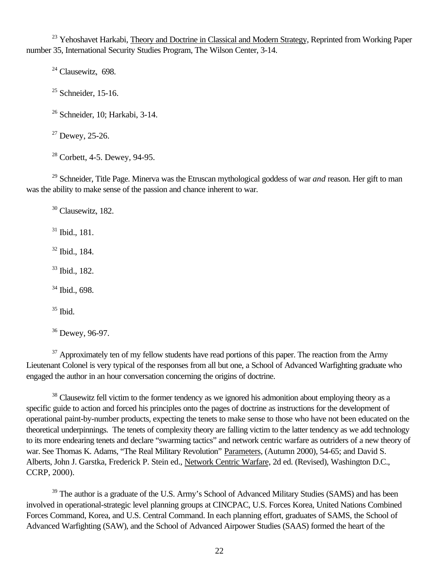<sup>23</sup> Yehoshavet Harkabi, Theory and Doctrine in Classical and Modern Strategy, Reprinted from Working Paper number 35, International Security Studies Program, The Wilson Center, 3-14.

 $24$  Clausewitz, 698.

 $25$  Schneider, 15-16.

 $26$  Schneider, 10; Harkabi, 3-14.

 $27$  Dewey, 25-26.

<sup>28</sup> Corbett, 4-5. Dewey, 94-95.

<sup>29</sup> Schneider, Title Page. Minerva was the Etruscan mythological goddess of war *and* reason. Her gift to man was the ability to make sense of the passion and chance inherent to war.

<sup>30</sup> Clausewitz, 182.

 $31$  Ibid., 181.

<sup>32</sup> Ibid., 184.

<sup>33</sup> Ibid., 182.

<sup>34</sup> Ibid., 698.

 $35$  Ibid.

<sup>36</sup> Dewey, 96-97.

 $37$  Approximately ten of my fellow students have read portions of this paper. The reaction from the Army Lieutenant Colonel is very typical of the responses from all but one, a School of Advanced Warfighting graduate who engaged the author in an hour conversation concerning the origins of doctrine.

<sup>38</sup> Clausewitz fell victim to the former tendency as we ignored his admonition about employing theory as a specific guide to action and forced his principles onto the pages of doctrine as instructions for the development of operational paint-by-number products, expecting the tenets to make sense to those who have not been educated on the theoretical underpinnings. The tenets of complexity theory are falling victim to the latter tendency as we add technology to its more endearing tenets and declare "swarming tactics" and network centric warfare as outriders of a new theory of war. See Thomas K. Adams, "The Real Military Revolution" Parameters, (Autumn 2000), 54-65; and David S. Alberts, John J. Garstka, Frederick P. Stein ed., Network Centric Warfare, 2d ed. (Revised), Washington D.C., CCRP, 2000).

<sup>39</sup> The author is a graduate of the U.S. Army's School of Advanced Military Studies (SAMS) and has been involved in operational-strategic level planning groups at CINCPAC, U.S. Forces Korea, United Nations Combined Forces Command, Korea, and U.S. Central Command. In each planning effort, graduates of SAMS, the School of Advanced Warfighting (SAW), and the School of Advanced Airpower Studies (SAAS) formed the heart of the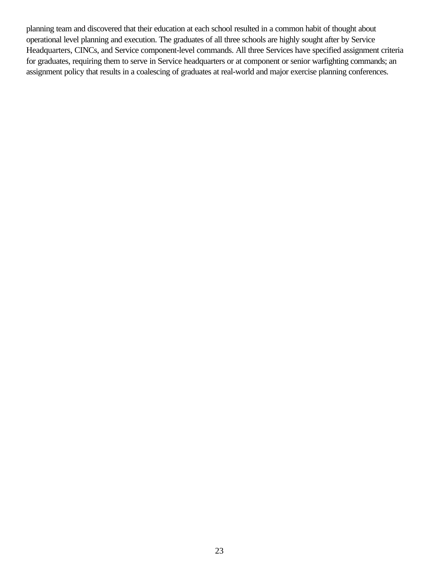planning team and discovered that their education at each school resulted in a common habit of thought about operational level planning and execution. The graduates of all three schools are highly sought after by Service Headquarters, CINCs, and Service component-level commands. All three Services have specified assignment criteria for graduates, requiring them to serve in Service headquarters or at component or senior warfighting commands; an assignment policy that results in a coalescing of graduates at real-world and major exercise planning conferences.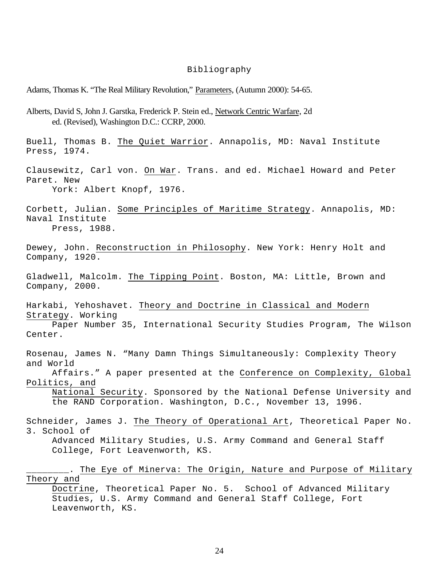#### Bibliography

Adams, Thomas K. "The Real Military Revolution," Parameters, (Autumn 2000): 54-65.

Alberts, David S, John J. Garstka, Frederick P. Stein ed., Network Centric Warfare, 2d ed. (Revised), Washington D.C.: CCRP, 2000. Buell, Thomas B. The Quiet Warrior. Annapolis, MD: Naval Institute Press, 1974. Clausewitz, Carl von. On War. Trans. and ed. Michael Howard and Peter Paret. New York: Albert Knopf, 1976. Corbett, Julian. Some Principles of Maritime Strategy. Annapolis, MD: Naval Institute Press, 1988. Dewey, John. Reconstruction in Philosophy. New York: Henry Holt and Company, 1920. Gladwell, Malcolm. The Tipping Point. Boston, MA: Little, Brown and Company, 2000. Harkabi, Yehoshavet. Theory and Doctrine in Classical and Modern Strategy. Working Paper Number 35, International Security Studies Program, The Wilson Center. Rosenau, James N. "Many Damn Things Simultaneously: Complexity Theory and World Affairs." A paper presented at the Conference on Complexity, Global Politics, and National Security. Sponsored by the National Defense University and the RAND Corporation. Washington, D.C., November 13, 1996. Schneider, James J. The Theory of Operational Art, Theoretical Paper No. 3. School of Advanced Military Studies, U.S. Army Command and General Staff College, Fort Leavenworth, KS. \_\_\_\_\_\_\_\_. The Eye of Minerva: The Origin, Nature and Purpose of Military Theory and Doctrine, Theoretical Paper No. 5. School of Advanced Military Studies, U.S. Army Command and General Staff College, Fort Leavenworth, KS.